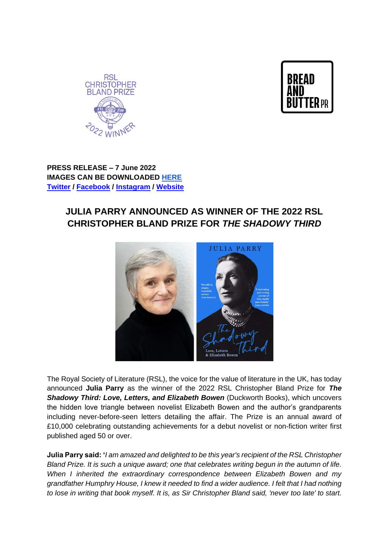



**PRESS RELEASE – 7 June 2022 IMAGES CAN BE DOWNLOADED [HERE](https://drive.google.com/drive/folders/1q9Ri146MNZeK24Eqmc4OzUWzoc7GvhMX?usp=sharing) [Twitter](https://twitter.com/RSLiterature) / [Facebook](https://www.facebook.com/RoyalSocietyLiterature/) / [Instagram](https://www.instagram.com/royalsocietyofliterature/?hl=en) / [Website](https://rsliterature.org/)** 

## **JULIA PARRY ANNOUNCED AS WINNER OF THE 2022 RSL CHRISTOPHER BLAND PRIZE FOR** *THE SHADOWY THIRD*



The Royal Society of Literature (RSL), the voice for the value of literature in the UK, has today announced **Julia Parry** as the winner of the 2022 RSL Christopher Bland Prize for *The Shadowy Third: Love, Letters, and Elizabeth Bowen* (Duckworth Books), which uncovers the hidden love triangle between novelist Elizabeth Bowen and the author's grandparents including never-before-seen letters detailing the affair. The Prize is an annual award of £10,000 celebrating outstanding achievements for a debut novelist or non-fiction writer first published aged 50 or over.

**Julia Parry said: '***I am amazed and delighted to be this year's recipient of the RSL Christopher Bland Prize. It is such a unique award; one that celebrates writing begun in the autumn of life. When I inherited the extraordinary correspondence between Elizabeth Bowen and my grandfather Humphry House, I knew it needed to find a wider audience. I felt that I had nothing to lose in writing that book myself. It is, as Sir Christopher Bland said, 'never too late' to start.*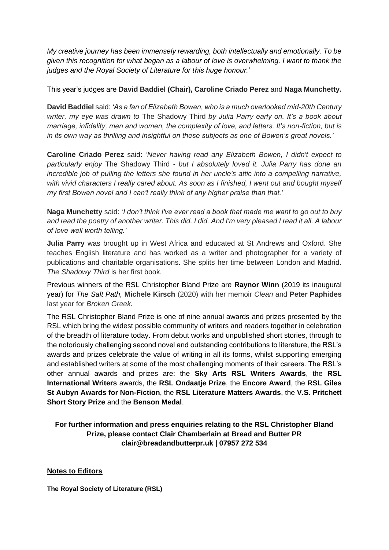*My creative journey has been immensely rewarding, both intellectually and emotionally. To be given this recognition for what began as a labour of love is overwhelming. I want to thank the judges and the Royal Society of Literature for this huge honour.'*

This year's judges are **David Baddiel (Chair), Caroline Criado Perez** and **Naga Munchetty.**

**David Baddiel** said: *'As a fan of Elizabeth Bowen, who is a much overlooked mid-20th Century writer, my eye was drawn to* The Shadowy Third *by Julia Parry early on. It's a book about marriage, infidelity, men and women, the complexity of love, and letters. It's non-fiction, but is in its own way as thrilling and insightful on these subjects as one of Bowen's great novels.'*

**Caroline Criado Perez** said: *'Never having read any Elizabeth Bowen, I didn't expect to particularly enjoy* The Shadowy Third *- but I absolutely loved it. Julia Parry has done an incredible job of pulling the letters she found in her uncle's attic into a compelling narrative, with vivid characters I really cared about. As soon as I finished, I went out and bought myself my first Bowen novel and I can't really think of any higher praise than that.'* 

**Naga Munchetty** said: *'I don't think I've ever read a book that made me want to go out to buy and read the poetry of another writer. This did. I did. And I'm very pleased I read it all. A labour of love well worth telling.'*

**Julia Parry** was brought up in West Africa and educated at St Andrews and Oxford. She teaches English literature and has worked as a writer and photographer for a variety of publications and charitable organisations. She splits her time between London and Madrid. *The Shadowy Third* is her first book.

Previous winners of the RSL Christopher Bland Prize are **Raynor Winn** (2019 its inaugural year) for *The Salt Path,* **Michele Kirsch** (2020) with her memoir *Clean* and **Peter Paphides**  last year for *Broken Greek.*

The RSL Christopher Bland Prize is one of nine annual awards and prizes presented by the RSL which bring the widest possible community of writers and readers together in celebration of the breadth of literature today. From debut works and unpublished short stories, through to the notoriously challenging second novel and outstanding contributions to literature, the RSL's awards and prizes celebrate the value of writing in all its forms, whilst supporting emerging and established writers at some of the most challenging moments of their careers. The RSL's other annual awards and prizes are: the **Sky Arts RSL Writers Awards**, the **RSL International Writers** awards, the **RSL Ondaatje Prize**, the **Encore Award**, the **RSL Giles St Aubyn Awards for Non-Fiction**, the **RSL Literature Matters Awards**, the **V.S. Pritchett Short Story Prize** and the **Benson Medal**.

**For further information and press enquiries relating to the RSL Christopher Bland Prize, please contact Clair Chamberlain at Bread and Butter PR clair@breadandbutterpr.uk | 07957 272 534**

## **Notes to Editors**

**The Royal Society of Literature (RSL)**